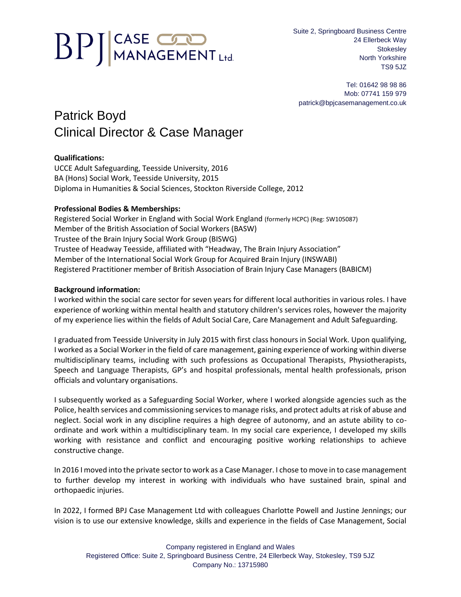# **BPJ**CASE COD

Suite 2, Springboard Business Centre 24 Ellerbeck Way **Stokesley** North Yorkshire TS9 5JZ

Tel: 01642 98 98 86 Mob: 07741 159 979 patrick@bpjcasemanagement.co.uk

# Patrick Boyd Clinical Director & Case Manager

## **Qualifications:**

UCCE Adult Safeguarding, Teesside University, 2016 BA (Hons) Social Work, Teesside University, 2015 Diploma in Humanities & Social Sciences, Stockton Riverside College, 2012

### **Professional Bodies & Memberships:**

Registered Social Worker in England with Social Work England (formerly HCPC) (Reg: SW105087) Member of the British Association of Social Workers (BASW) Trustee of the Brain Injury Social Work Group (BISWG) Trustee of Headway Teesside, affiliated with "Headway, The Brain Injury Association" Member of the International Social Work Group for Acquired Brain Injury (INSWABI) Registered Practitioner member of British Association of Brain Injury Case Managers (BABICM)

#### **Background information:**

I worked within the social care sector for seven years for different local authorities in various roles. I have experience of working within mental health and statutory children's services roles, however the majority of my experience lies within the fields of Adult Social Care, Care Management and Adult Safeguarding.

I graduated from Teesside University in July 2015 with first class honours in Social Work. Upon qualifying, I worked as a Social Worker in the field of care management, gaining experience of working within diverse multidisciplinary teams, including with such professions as Occupational Therapists, Physiotherapists, Speech and Language Therapists, GP's and hospital professionals, mental health professionals, prison officials and voluntary organisations.

I subsequently worked as a Safeguarding Social Worker, where I worked alongside agencies such as the Police, health services and commissioning services to manage risks, and protect adults at risk of abuse and neglect. Social work in any discipline requires a high degree of autonomy, and an astute ability to coordinate and work within a multidisciplinary team. In my social care experience, I developed my skills working with resistance and conflict and encouraging positive working relationships to achieve constructive change.

In 2016 I moved into the private sector to work as a Case Manager. I chose to move in to case management to further develop my interest in working with individuals who have sustained brain, spinal and orthopaedic injuries.

In 2022, I formed BPJ Case Management Ltd with colleagues Charlotte Powell and Justine Jennings; our vision is to use our extensive knowledge, skills and experience in the fields of Case Management, Social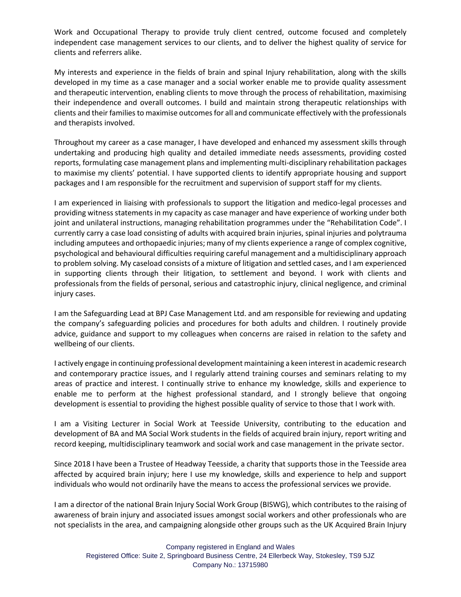Work and Occupational Therapy to provide truly client centred, outcome focused and completely independent case management services to our clients, and to deliver the highest quality of service for clients and referrers alike.

My interests and experience in the fields of brain and spinal Injury rehabilitation, along with the skills developed in my time as a case manager and a social worker enable me to provide quality assessment and therapeutic intervention, enabling clients to move through the process of rehabilitation, maximising their independence and overall outcomes. I build and maintain strong therapeutic relationships with clients and their families to maximise outcomes for all and communicate effectively with the professionals and therapists involved.

Throughout my career as a case manager, I have developed and enhanced my assessment skills through undertaking and producing high quality and detailed immediate needs assessments, providing costed reports, formulating case management plans and implementing multi-disciplinary rehabilitation packages to maximise my clients' potential. I have supported clients to identify appropriate housing and support packages and I am responsible for the recruitment and supervision of support staff for my clients.

I am experienced in liaising with professionals to support the litigation and medico-legal processes and providing witness statements in my capacity as case manager and have experience of working under both joint and unilateral instructions, managing rehabilitation programmes under the "Rehabilitation Code". I currently carry a case load consisting of adults with acquired brain injuries, spinal injuries and polytrauma including amputees and orthopaedic injuries; many of my clients experience a range of complex cognitive, psychological and behavioural difficulties requiring careful management and a multidisciplinary approach to problem solving. My caseload consists of a mixture of litigation and settled cases, and I am experienced in supporting clients through their litigation, to settlement and beyond. I work with clients and professionals from the fields of personal, serious and catastrophic injury, clinical negligence, and criminal injury cases.

I am the Safeguarding Lead at BPJ Case Management Ltd. and am responsible for reviewing and updating the company's safeguarding policies and procedures for both adults and children. I routinely provide advice, guidance and support to my colleagues when concerns are raised in relation to the safety and wellbeing of our clients.

I actively engage in continuing professional development maintaining a keen interest in academic research and contemporary practice issues, and I regularly attend training courses and seminars relating to my areas of practice and interest. I continually strive to enhance my knowledge, skills and experience to enable me to perform at the highest professional standard, and I strongly believe that ongoing development is essential to providing the highest possible quality of service to those that I work with.

I am a Visiting Lecturer in Social Work at Teesside University, contributing to the education and development of BA and MA Social Work students in the fields of acquired brain injury, report writing and record keeping, multidisciplinary teamwork and social work and case management in the private sector.

Since 2018 I have been a Trustee of Headway Teesside, a charity that supports those in the Teesside area affected by acquired brain injury; here I use my knowledge, skills and experience to help and support individuals who would not ordinarily have the means to access the professional services we provide.

I am a director of the national Brain Injury Social Work Group (BISWG), which contributes to the raising of awareness of brain injury and associated issues amongst social workers and other professionals who are not specialists in the area, and campaigning alongside other groups such as the UK Acquired Brain Injury